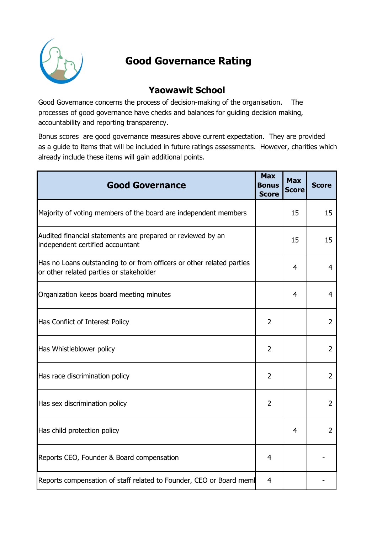

## Good Governance Rating

## Yaowawit School

Good Governance concerns the process of decision-making of the organisation. The processes of good governance have checks and balances for guiding decision making, accountability and reporting transparency.

Bonus scores are good governance measures above current expectation. They are provided as a guide to items that will be included in future ratings assessments. However, charities which already include these items will gain additional points.

| <b>Good Governance</b>                                                                                           | <b>Max</b><br>Bonus<br><b>Score</b> | <b>Max</b><br><b>Score</b> | <b>Score</b>   |
|------------------------------------------------------------------------------------------------------------------|-------------------------------------|----------------------------|----------------|
| Majority of voting members of the board are independent members                                                  |                                     | 15                         | 15             |
| Audited financial statements are prepared or reviewed by an<br>independent certified accountant                  |                                     | 15                         | 15             |
| Has no Loans outstanding to or from officers or other related parties<br>or other related parties or stakeholder |                                     | 4                          | $\overline{4}$ |
| Organization keeps board meeting minutes                                                                         |                                     | $\overline{4}$             | $\overline{4}$ |
| Has Conflict of Interest Policy                                                                                  | 2                                   |                            | $\overline{2}$ |
| Has Whistleblower policy                                                                                         | 2                                   |                            | $\overline{2}$ |
| Has race discrimination policy                                                                                   | 2                                   |                            | $\overline{2}$ |
| Has sex discrimination policy                                                                                    | 2                                   |                            | $\overline{2}$ |
| Has child protection policy                                                                                      |                                     | 4                          | $\overline{2}$ |
| Reports CEO, Founder & Board compensation                                                                        | 4                                   |                            |                |
| Reports compensation of staff related to Founder, CEO or Board mem                                               | 4                                   |                            |                |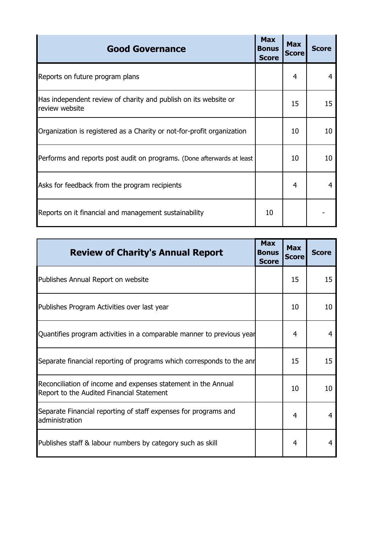| <b>Good Governance</b>                                                            | <b>Max</b><br><b>Bonus</b><br><b>Score</b> | <b>Max</b><br><b>Score</b> | <b>Score</b> |
|-----------------------------------------------------------------------------------|--------------------------------------------|----------------------------|--------------|
| Reports on future program plans                                                   |                                            | 4                          |              |
| Has independent review of charity and publish on its website or<br>review website |                                            | 15                         | 15           |
| Organization is registered as a Charity or not-for-profit organization            |                                            | 10                         | 10           |
| Performs and reports post audit on programs. (Done afterwards at least            |                                            | 10                         | 10           |
| Asks for feedback from the program recipients                                     |                                            | 4                          |              |
| Reports on it financial and management sustainability                             | 10                                         |                            |              |

| <b>Review of Charity's Annual Report</b>                                                                   | <b>Max</b><br><b>Bonus</b><br><b>Score</b> | <b>Max</b><br><b>Score</b> | <b>Score</b> |
|------------------------------------------------------------------------------------------------------------|--------------------------------------------|----------------------------|--------------|
| Publishes Annual Report on website                                                                         |                                            | 15                         | 15           |
| Publishes Program Activities over last year                                                                |                                            | 10                         | 10           |
| Quantifies program activities in a comparable manner to previous year                                      |                                            | 4                          | 4            |
| Separate financial reporting of programs which corresponds to the and                                      |                                            | 15                         | 15           |
| Reconciliation of income and expenses statement in the Annual<br>Report to the Audited Financial Statement |                                            | 10                         | 10           |
| Separate Financial reporting of staff expenses for programs and<br>administration                          |                                            | 4                          | 4            |
| Publishes staff & labour numbers by category such as skill                                                 |                                            | 4                          | 4            |